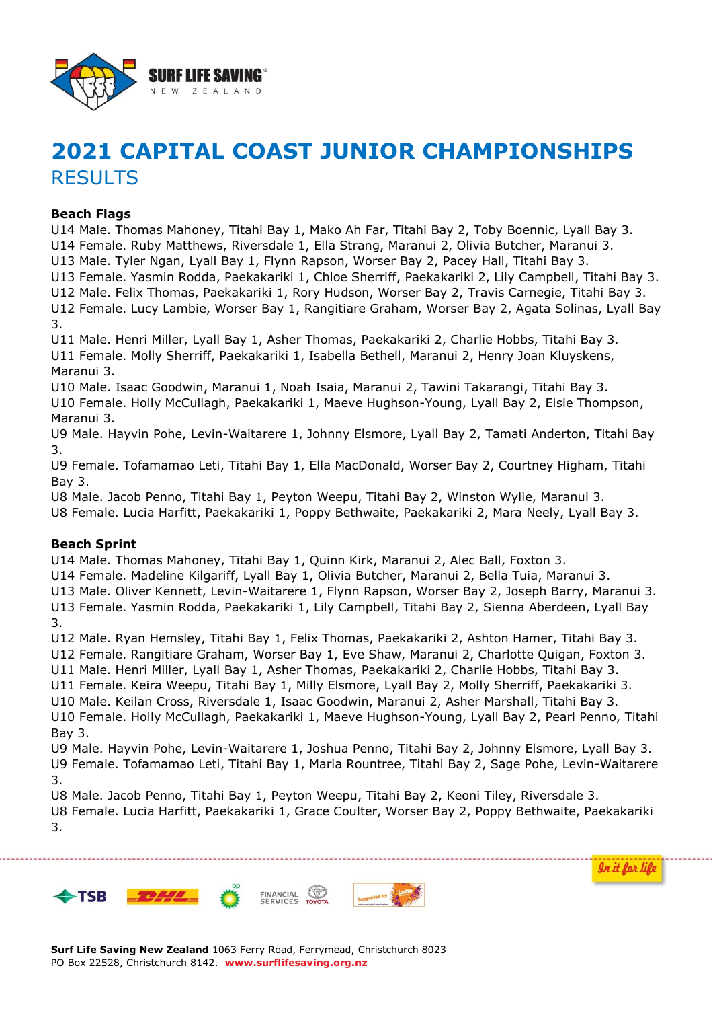

# **2021 CAPITAL COAST JUNIOR CHAMPIONSHIPS** RESULTS

#### **Beach Flags**

U14 Male. Thomas Mahoney, Titahi Bay 1, Mako Ah Far, Titahi Bay 2, Toby Boennic, Lyall Bay 3. U14 Female. Ruby Matthews, Riversdale 1, Ella Strang, Maranui 2, Olivia Butcher, Maranui 3. U13 Male. Tyler Ngan, Lyall Bay 1, Flynn Rapson, Worser Bay 2, Pacey Hall, Titahi Bay 3. U13 Female. Yasmin Rodda, Paekakariki 1, Chloe Sherriff, Paekakariki 2, Lily Campbell, Titahi Bay 3. U12 Male. Felix Thomas, Paekakariki 1, Rory Hudson, Worser Bay 2, Travis Carnegie, Titahi Bay 3. U12 Female. Lucy Lambie, Worser Bay 1, Rangitiare Graham, Worser Bay 2, Agata Solinas, Lyall Bay

3. U11 Male. Henri Miller, Lyall Bay 1, Asher Thomas, Paekakariki 2, Charlie Hobbs, Titahi Bay 3. U11 Female. Molly Sherriff, Paekakariki 1, Isabella Bethell, Maranui 2, Henry Joan Kluyskens, Maranui 3.

U10 Male. Isaac Goodwin, Maranui 1, Noah Isaia, Maranui 2, Tawini Takarangi, Titahi Bay 3. U10 Female. Holly McCullagh, Paekakariki 1, Maeve Hughson-Young, Lyall Bay 2, Elsie Thompson, Maranui 3.

U9 Male. Hayvin Pohe, Levin-Waitarere 1, Johnny Elsmore, Lyall Bay 2, Tamati Anderton, Titahi Bay 3.

U9 Female. Tofamamao Leti, Titahi Bay 1, Ella MacDonald, Worser Bay 2, Courtney Higham, Titahi Bay 3.

U8 Male. Jacob Penno, Titahi Bay 1, Peyton Weepu, Titahi Bay 2, Winston Wylie, Maranui 3. U8 Female. Lucia Harfitt, Paekakariki 1, Poppy Bethwaite, Paekakariki 2, Mara Neely, Lyall Bay 3.

## **Beach Sprint**

U14 Male. Thomas Mahoney, Titahi Bay 1, Quinn Kirk, Maranui 2, Alec Ball, Foxton 3.

U14 Female. Madeline Kilgariff, Lyall Bay 1, Olivia Butcher, Maranui 2, Bella Tuia, Maranui 3. U13 Male. Oliver Kennett, Levin-Waitarere 1, Flynn Rapson, Worser Bay 2, Joseph Barry, Maranui 3. U13 Female. Yasmin Rodda, Paekakariki 1, Lily Campbell, Titahi Bay 2, Sienna Aberdeen, Lyall Bay

3. U12 Male. Ryan Hemsley, Titahi Bay 1, Felix Thomas, Paekakariki 2, Ashton Hamer, Titahi Bay 3. U12 Female. Rangitiare Graham, Worser Bay 1, Eve Shaw, Maranui 2, Charlotte Quigan, Foxton 3. U11 Male. Henri Miller, Lyall Bay 1, Asher Thomas, Paekakariki 2, Charlie Hobbs, Titahi Bay 3.

U11 Female. Keira Weepu, Titahi Bay 1, Milly Elsmore, Lyall Bay 2, Molly Sherriff, Paekakariki 3.

U10 Male. Keilan Cross, Riversdale 1, Isaac Goodwin, Maranui 2, Asher Marshall, Titahi Bay 3.

U10 Female. Holly McCullagh, Paekakariki 1, Maeve Hughson-Young, Lyall Bay 2, Pearl Penno, Titahi Bay 3.

U9 Male. Hayvin Pohe, Levin-Waitarere 1, Joshua Penno, Titahi Bay 2, Johnny Elsmore, Lyall Bay 3. U9 Female. Tofamamao Leti, Titahi Bay 1, Maria Rountree, Titahi Bay 2, Sage Pohe, Levin-Waitarere 3.

U8 Male. Jacob Penno, Titahi Bay 1, Peyton Weepu, Titahi Bay 2, Keoni Tiley, Riversdale 3. U8 Female. Lucia Harfitt, Paekakariki 1, Grace Coulter, Worser Bay 2, Poppy Bethwaite, Paekakariki 3.







In it for life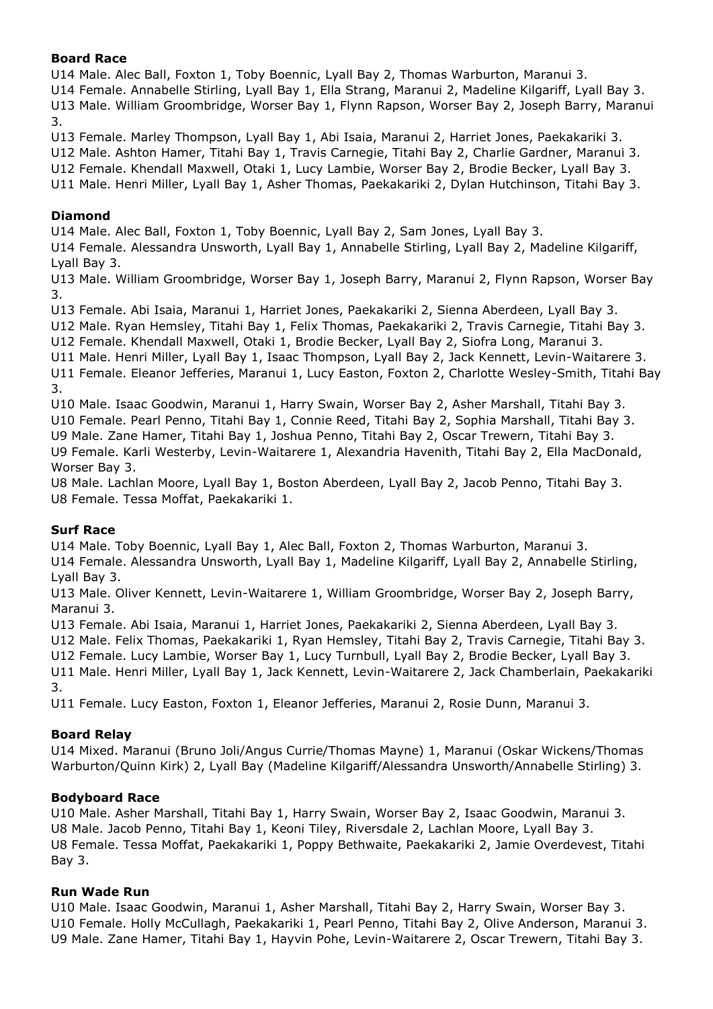## **Board Race**

U14 Male. Alec Ball, Foxton 1, Toby Boennic, Lyall Bay 2, Thomas Warburton, Maranui 3. U14 Female. Annabelle Stirling, Lyall Bay 1, Ella Strang, Maranui 2, Madeline Kilgariff, Lyall Bay 3. U13 Male. William Groombridge, Worser Bay 1, Flynn Rapson, Worser Bay 2, Joseph Barry, Maranui 3.

U13 Female. Marley Thompson, Lyall Bay 1, Abi Isaia, Maranui 2, Harriet Jones, Paekakariki 3. U12 Male. Ashton Hamer, Titahi Bay 1, Travis Carnegie, Titahi Bay 2, Charlie Gardner, Maranui 3. U12 Female. Khendall Maxwell, Otaki 1, Lucy Lambie, Worser Bay 2, Brodie Becker, Lyall Bay 3. U11 Male. Henri Miller, Lyall Bay 1, Asher Thomas, Paekakariki 2, Dylan Hutchinson, Titahi Bay 3.

## **Diamond**

U14 Male. Alec Ball, Foxton 1, Toby Boennic, Lyall Bay 2, Sam Jones, Lyall Bay 3.

U14 Female. Alessandra Unsworth, Lyall Bay 1, Annabelle Stirling, Lyall Bay 2, Madeline Kilgariff, Lyall Bay 3.

U13 Male. William Groombridge, Worser Bay 1, Joseph Barry, Maranui 2, Flynn Rapson, Worser Bay 3.

U13 Female. Abi Isaia, Maranui 1, Harriet Jones, Paekakariki 2, Sienna Aberdeen, Lyall Bay 3.

U12 Male. Ryan Hemsley, Titahi Bay 1, Felix Thomas, Paekakariki 2, Travis Carnegie, Titahi Bay 3.

U12 Female. Khendall Maxwell, Otaki 1, Brodie Becker, Lyall Bay 2, Siofra Long, Maranui 3.

U11 Male. Henri Miller, Lyall Bay 1, Isaac Thompson, Lyall Bay 2, Jack Kennett, Levin-Waitarere 3. U11 Female. Eleanor Jefferies, Maranui 1, Lucy Easton, Foxton 2, Charlotte Wesley-Smith, Titahi Bay 3.

U10 Male. Isaac Goodwin, Maranui 1, Harry Swain, Worser Bay 2, Asher Marshall, Titahi Bay 3. U10 Female. Pearl Penno, Titahi Bay 1, Connie Reed, Titahi Bay 2, Sophia Marshall, Titahi Bay 3. U9 Male. Zane Hamer, Titahi Bay 1, Joshua Penno, Titahi Bay 2, Oscar Trewern, Titahi Bay 3. U9 Female. Karli Westerby, Levin-Waitarere 1, Alexandria Havenith, Titahi Bay 2, Ella MacDonald, Worser Bay 3.

U8 Male. Lachlan Moore, Lyall Bay 1, Boston Aberdeen, Lyall Bay 2, Jacob Penno, Titahi Bay 3. U8 Female. Tessa Moffat, Paekakariki 1.

# **Surf Race**

U14 Male. Toby Boennic, Lyall Bay 1, Alec Ball, Foxton 2, Thomas Warburton, Maranui 3. U14 Female. Alessandra Unsworth, Lyall Bay 1, Madeline Kilgariff, Lyall Bay 2, Annabelle Stirling, Lyall Bay 3.

U13 Male. Oliver Kennett, Levin-Waitarere 1, William Groombridge, Worser Bay 2, Joseph Barry, Maranui 3.

U13 Female. Abi Isaia, Maranui 1, Harriet Jones, Paekakariki 2, Sienna Aberdeen, Lyall Bay 3.

U12 Male. Felix Thomas, Paekakariki 1, Ryan Hemsley, Titahi Bay 2, Travis Carnegie, Titahi Bay 3.

U12 Female. Lucy Lambie, Worser Bay 1, Lucy Turnbull, Lyall Bay 2, Brodie Becker, Lyall Bay 3.

U11 Male. Henri Miller, Lyall Bay 1, Jack Kennett, Levin-Waitarere 2, Jack Chamberlain, Paekakariki 3.

U11 Female. Lucy Easton, Foxton 1, Eleanor Jefferies, Maranui 2, Rosie Dunn, Maranui 3.

# **Board Relay**

U14 Mixed. Maranui (Bruno Joli/Angus Currie/Thomas Mayne) 1, Maranui (Oskar Wickens/Thomas Warburton/Quinn Kirk) 2, Lyall Bay (Madeline Kilgariff/Alessandra Unsworth/Annabelle Stirling) 3.

## **Bodyboard Race**

U10 Male. Asher Marshall, Titahi Bay 1, Harry Swain, Worser Bay 2, Isaac Goodwin, Maranui 3. U8 Male. Jacob Penno, Titahi Bay 1, Keoni Tiley, Riversdale 2, Lachlan Moore, Lyall Bay 3. U8 Female. Tessa Moffat, Paekakariki 1, Poppy Bethwaite, Paekakariki 2, Jamie Overdevest, Titahi Bay 3.

## **Run Wade Run**

U10 Male. Isaac Goodwin, Maranui 1, Asher Marshall, Titahi Bay 2, Harry Swain, Worser Bay 3. U10 Female. Holly McCullagh, Paekakariki 1, Pearl Penno, Titahi Bay 2, Olive Anderson, Maranui 3. U9 Male. Zane Hamer, Titahi Bay 1, Hayvin Pohe, Levin-Waitarere 2, Oscar Trewern, Titahi Bay 3.